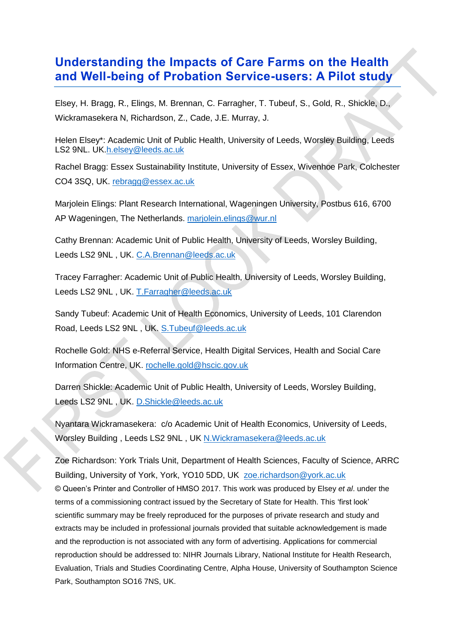## **Understanding the Impacts of Care Farms on the Health and Well-being of Probation Service-users: A Pilot study**

Elsey, H. Bragg, R., Elings, M. Brennan, C. Farragher, T. Tubeuf, S., Gold, R., Shickle, D., Wickramasekera N, Richardson, Z., Cade, J.E. Murray, J.

Helen Elsey\*: Academic Unit of Public Health, University of Leeds, Worsley Building, Leeds LS2 9NL. UK[.h.elsey@leeds.ac.uk](mailto:h.elsey@leeds.ac.uk)

Rachel Bragg: Essex Sustainability Institute, University of Essex, Wivenhoe Park, Colchester CO4 3SQ, UK. [rebragg@essex.ac.uk](mailto:rebragg@essex.ac.uk)

Marjolein Elings: Plant Research International, Wageningen University, Postbus 616, 6700 AP Wageningen, The Netherlands. [marjolein.elings@wur.nl](mailto:marjolein.elings@wur.nl)

Cathy Brennan: Academic Unit of Public Health, University of Leeds, Worsley Building, Leeds LS2 9NL , UK. [C.A.Brennan@leeds.ac.uk](mailto:C.A.Brennan@leeds.ac.uk)

Tracey Farragher: Academic Unit of Public Health, University of Leeds, Worsley Building, Leeds LS2 9NL, UK. [T.Farragher@leeds.ac.uk](mailto:T.Farragher@leeds.ac.uk)

Sandy Tubeuf: Academic Unit of Health Economics, University of Leeds, 101 Clarendon Road, Leeds LS2 9NL , UK. [S.Tubeuf@leeds.ac.uk](mailto:S.Tubeuf@leeds.ac.uk)

Rochelle Gold: NHS e-Referral Service, Health Digital Services, Health and Social Care Information Centre, UK. [rochelle.gold@hscic.gov.uk](mailto:rochelle.gold@hscic.gov.uk)

Darren Shickle: Academic Unit of Public Health, University of Leeds, Worsley Building, Leeds LS2 9NL , UK. [D.Shickle@leeds.ac.uk](mailto:D.Shickle@leeds.ac.uk)

Nyantara Wickramasekera: c/o Academic Unit of Health Economics, University of Leeds, Worsley Building, Leeds LS2 9NL, UK [N.Wickramasekera@leeds.ac.uk](mailto:N.Wickramasekera@leeds.ac.uk)

© Queen's Printer and Controller of HMSO 2017. This work was produced by Elsey *et al*. under the terms of a commissioning contract issued by the Secretary of State for Health. This 'first look' scientific summary may be freely reproduced for the purposes of private research and study and extracts may be included in professional journals provided that suitable acknowledgement is made and the reproduction is not associated with any form of advertising. Applications for commercial reproduction should be addressed to: NIHR Journals Library, National Institute for Health Research, Evaluation, Trials and Studies Coordinating Centre, Alpha House, University of Southampton Science Park, Southampton SO16 7NS, UK. Zoe Richardson: York Trials Unit, Department of Health Sciences, Faculty of Science, ARRC Building, University of York, York, YO10 5DD, UK [zoe.richardson@york.ac.uk](mailto:zoe.richardson@york.ac.uk)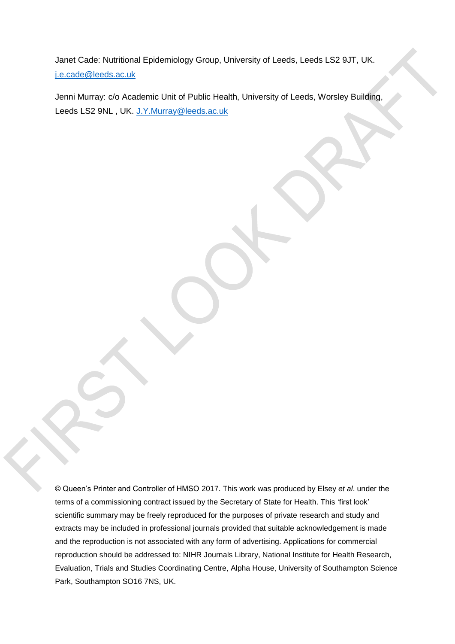Janet Cade: Nutritional Epidemiology Group, University of Leeds, Leeds LS2 9JT, UK. [j.e.cade@leeds.ac.uk](mailto:j.e.cade@leeds.ac.uk)

Jenni Murray: c/o Academic Unit of Public Health, University of Leeds, Worsley Building, Leeds LS2 9NL , UK. [J.Y.Murray@leeds.ac.uk](mailto:J.Y.Murray@leeds.ac.uk)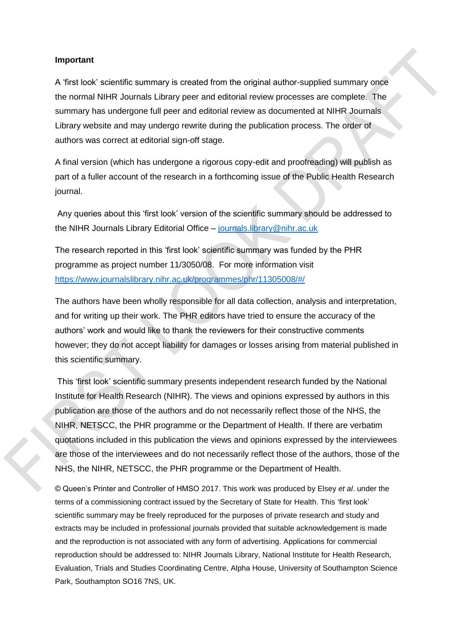#### **Important**

A 'first look' scientific summary is created from the original author-supplied summary once the normal NIHR Journals Library peer and editorial review processes are complete. The summary has undergone full peer and editorial review as documented at NIHR Journals Library website and may undergo rewrite during the publication process. The order of authors was correct at editorial sign-off stage.

A final version (which has undergone a rigorous copy-edit and proofreading) will publish as part of a fuller account of the research in a forthcoming issue of the Public Health Research journal.

Any queries about this 'first look' version of the scientific summary should be addressed to the NIHR Journals Library Editorial Office – [journals.library@nihr.ac.uk](mailto:journals.library@nihr.ac.uk)

The research reported in this 'first look' scientific summary was funded by the PHR programme as project number 11/3050/08. For more information visit <https://www.journalslibrary.nihr.ac.uk/programmes/phr/11305008/#/>

The authors have been wholly responsible for all data collection, analysis and interpretation, and for writing up their work. The PHR editors have tried to ensure the accuracy of the authors' work and would like to thank the reviewers for their constructive comments however; they do not accept liability for damages or losses arising from material published in this scientific summary.

This 'first look' scientific summary presents independent research funded by the National Institute for Health Research (NIHR). The views and opinions expressed by authors in this publication are those of the authors and do not necessarily reflect those of the NHS, the NIHR, NETSCC, the PHR programme or the Department of Health. If there are verbatim quotations included in this publication the views and opinions expressed by the interviewees are those of the interviewees and do not necessarily reflect those of the authors, those of the NHS, the NIHR, NETSCC, the PHR programme or the Department of Health.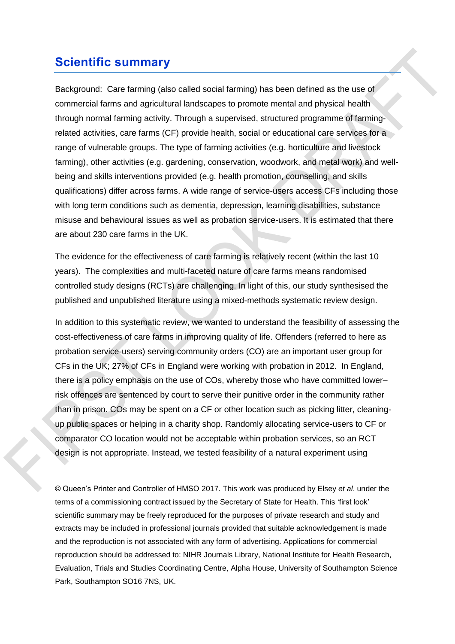# **Scientific summary**

Background: Care farming (also called social farming) has been defined as the use of commercial farms and agricultural landscapes to promote mental and physical health through normal farming activity. Through a supervised, structured programme of farmingrelated activities, care farms (CF) provide health, social or educational care services for a range of vulnerable groups. The type of farming activities (e.g. horticulture and livestock farming), other activities (e.g. gardening, conservation, woodwork, and metal work) and wellbeing and skills interventions provided (e.g. health promotion, counselling, and skills qualifications) differ across farms. A wide range of service-users access CFs including those with long term conditions such as dementia, depression, learning disabilities, substance misuse and behavioural issues as well as probation service-users. It is estimated that there are about 230 care farms in the UK.

The evidence for the effectiveness of care farming is relatively recent (within the last 10 years). The complexities and multi-faceted nature of care farms means randomised controlled study designs (RCTs) are challenging. In light of this, our study synthesised the published and unpublished literature using a mixed-methods systematic review design.

In addition to this systematic review, we wanted to understand the feasibility of assessing the cost-effectiveness of care farms in improving quality of life. Offenders (referred to here as probation service-users) serving community orders (CO) are an important user group for CFs in the UK; 27% of CFs in England were working with probation in 2012. In England, there is a policy emphasis on the use of COs, whereby those who have committed lower– risk offences are sentenced by court to serve their punitive order in the community rather than in prison. COs may be spent on a CF or other location such as picking litter, cleaningup public spaces or helping in a charity shop. Randomly allocating service-users to CF or comparator CO location would not be acceptable within probation services, so an RCT design is not appropriate. Instead, we tested feasibility of a natural experiment using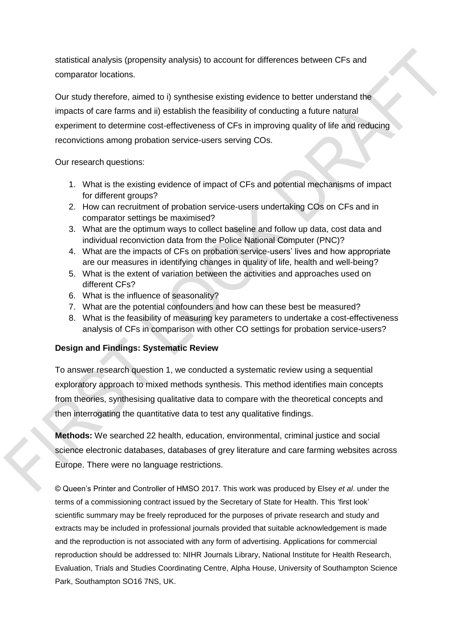statistical analysis (propensity analysis) to account for differences between CFs and comparator locations.

Our study therefore, aimed to i) synthesise existing evidence to better understand the impacts of care farms and ii) establish the feasibility of conducting a future natural experiment to determine cost-effectiveness of CFs in improving quality of life and reducing reconvictions among probation service-users serving COs.

Our research questions:

- 1. What is the existing evidence of impact of CFs and potential mechanisms of impact for different groups?
- 2. How can recruitment of probation service-users undertaking COs on CFs and in comparator settings be maximised?
- 3. What are the optimum ways to collect baseline and follow up data, cost data and individual reconviction data from the Police National Computer (PNC)?
- 4. What are the impacts of CFs on probation service-users' lives and how appropriate are our measures in identifying changes in quality of life, health and well-being?
- 5. What is the extent of variation between the activities and approaches used on different CFs?
- 6. What is the influence of seasonality?
- 7. What are the potential confounders and how can these best be measured?
- 8. What is the feasibility of measuring key parameters to undertake a cost-effectiveness analysis of CFs in comparison with other CO settings for probation service-users?

## **Design and Findings: Systematic Review**

To answer research question 1, we conducted a systematic review using a sequential exploratory approach to mixed methods synthesis. This method identifies main concepts from theories, synthesising qualitative data to compare with the theoretical concepts and then interrogating the quantitative data to test any qualitative findings.

**Methods:** We searched 22 health, education, environmental, criminal justice and social science electronic databases, databases of grey literature and care farming websites across Europe. There were no language restrictions.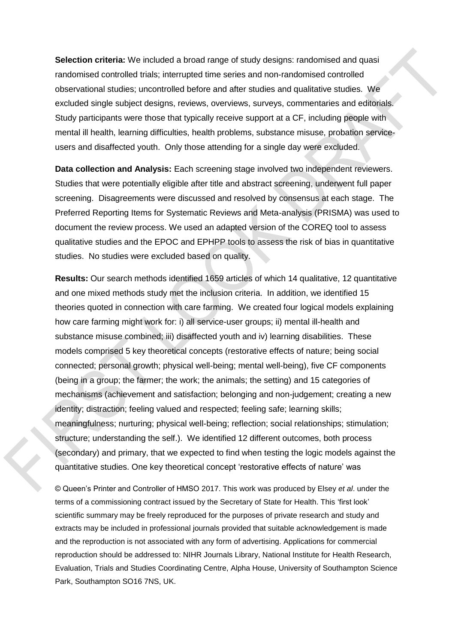**Selection criteria:** We included a broad range of study designs: randomised and quasi randomised controlled trials; interrupted time series and non-randomised controlled observational studies; uncontrolled before and after studies and qualitative studies. We excluded single subject designs, reviews, overviews, surveys, commentaries and editorials. Study participants were those that typically receive support at a CF, including people with mental ill health, learning difficulties, health problems, substance misuse, probation serviceusers and disaffected youth. Only those attending for a single day were excluded.

**Data collection and Analysis:** Each screening stage involved two independent reviewers. Studies that were potentially eligible after title and abstract screening, underwent full paper screening. Disagreements were discussed and resolved by consensus at each stage. The Preferred Reporting Items for Systematic Reviews and Meta-analysis (PRISMA) was used to document the review process. We used an adapted version of the COREQ tool to assess qualitative studies and the EPOC and EPHPP tools to assess the risk of bias in quantitative studies. No studies were excluded based on quality.

**Results:** Our search methods identified 1659 articles of which 14 qualitative, 12 quantitative and one mixed methods study met the inclusion criteria. In addition, we identified 15 theories quoted in connection with care farming. We created four logical models explaining how care farming might work for: i) all service-user groups; ii) mental ill-health and substance misuse combined; iii) disaffected youth and iv) learning disabilities. These models comprised 5 key theoretical concepts (restorative effects of nature; being social connected; personal growth; physical well-being; mental well-being), five CF components (being in a group; the farmer; the work; the animals; the setting) and 15 categories of mechanisms (achievement and satisfaction; belonging and non-judgement; creating a new identity; distraction; feeling valued and respected; feeling safe; learning skills; meaningfulness; nurturing; physical well-being; reflection; social relationships; stimulation; structure; understanding the self.). We identified 12 different outcomes, both process (secondary) and primary, that we expected to find when testing the logic models against the quantitative studies. One key theoretical concept 'restorative effects of nature' was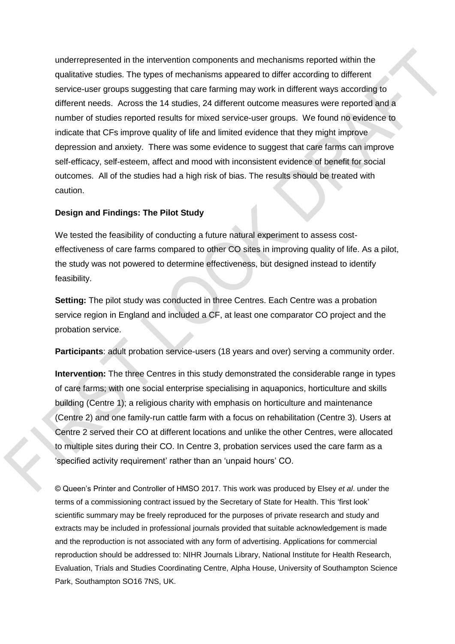underrepresented in the intervention components and mechanisms reported within the qualitative studies. The types of mechanisms appeared to differ according to different service-user groups suggesting that care farming may work in different ways according to different needs. Across the 14 studies, 24 different outcome measures were reported and a number of studies reported results for mixed service-user groups. We found no evidence to indicate that CFs improve quality of life and limited evidence that they might improve depression and anxiety. There was some evidence to suggest that care farms can improve self-efficacy, self-esteem, affect and mood with inconsistent evidence of benefit for social outcomes. All of the studies had a high risk of bias. The results should be treated with caution.

### **Design and Findings: The Pilot Study**

We tested the feasibility of conducting a future natural experiment to assess costeffectiveness of care farms compared to other CO sites in improving quality of life. As a pilot, the study was not powered to determine effectiveness, but designed instead to identify feasibility.

**Setting:** The pilot study was conducted in three Centres. Each Centre was a probation service region in England and included a CF, at least one comparator CO project and the probation service.

**Participants**: adult probation service-users (18 years and over) serving a community order.

**Intervention:** The three Centres in this study demonstrated the considerable range in types of care farms; with one social enterprise specialising in aquaponics, horticulture and skills building (Centre 1); a religious charity with emphasis on horticulture and maintenance (Centre 2) and one family-run cattle farm with a focus on rehabilitation (Centre 3). Users at Centre 2 served their CO at different locations and unlike the other Centres, were allocated to multiple sites during their CO. In Centre 3, probation services used the care farm as a 'specified activity requirement' rather than an 'unpaid hours' CO.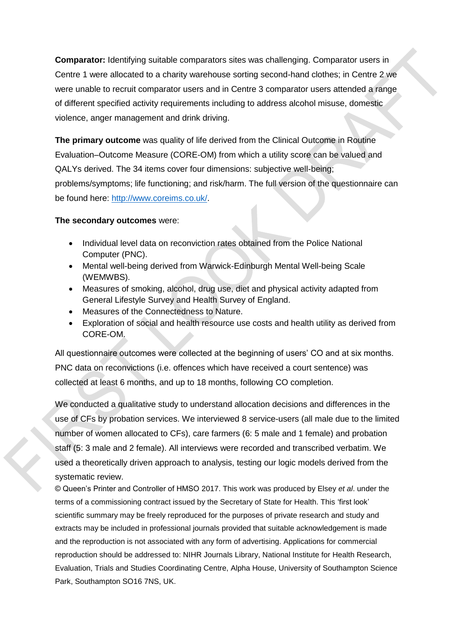**Comparator:** Identifying suitable comparators sites was challenging. Comparator users in Centre 1 were allocated to a charity warehouse sorting second-hand clothes; in Centre 2 we were unable to recruit comparator users and in Centre 3 comparator users attended a range of different specified activity requirements including to address alcohol misuse, domestic violence, anger management and drink driving.

**The primary outcome** was quality of life derived from the Clinical Outcome in Routine Evaluation–Outcome Measure (CORE-OM) from which a utility score can be valued and QALYs derived. The 34 items cover four dimensions: subjective well-being; problems/symptoms; life functioning; and risk/harm. The full version of the questionnaire can be found here: [http://www.coreims.co.uk/.](http://www.coreims.co.uk/)

## **The secondary outcomes** were:

- Individual level data on reconviction rates obtained from the Police National Computer (PNC).
- Mental well-being derived from Warwick-Edinburgh Mental Well-being Scale (WEMWBS).
- Measures of smoking, alcohol, drug use, diet and physical activity adapted from General Lifestyle Survey and Health Survey of England.
- Measures of the Connectedness to Nature.
- Exploration of social and health resource use costs and health utility as derived from CORE-OM.

All questionnaire outcomes were collected at the beginning of users' CO and at six months. PNC data on reconvictions (i.e. offences which have received a court sentence) was collected at least 6 months, and up to 18 months, following CO completion.

We conducted a qualitative study to understand allocation decisions and differences in the use of CFs by probation services. We interviewed 8 service-users (all male due to the limited number of women allocated to CFs), care farmers (6: 5 male and 1 female) and probation staff (5: 3 male and 2 female). All interviews were recorded and transcribed verbatim. We used a theoretically driven approach to analysis, testing our logic models derived from the systematic review.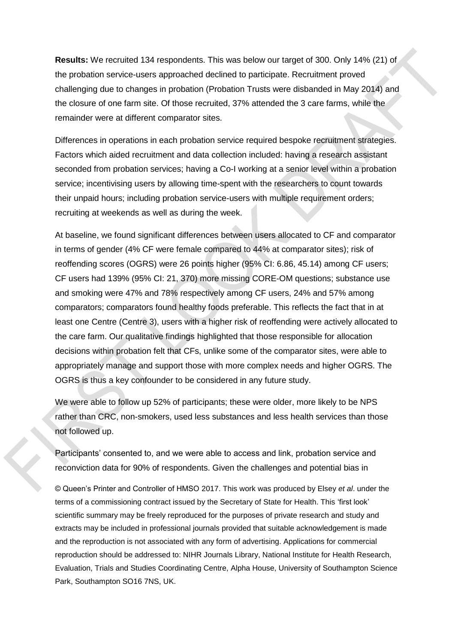**Results:** We recruited 134 respondents. This was below our target of 300. Only 14% (21) of the probation service-users approached declined to participate. Recruitment proved challenging due to changes in probation (Probation Trusts were disbanded in May 2014) and the closure of one farm site. Of those recruited, 37% attended the 3 care farms, while the remainder were at different comparator sites.

Differences in operations in each probation service required bespoke recruitment strategies. Factors which aided recruitment and data collection included: having a research assistant seconded from probation services; having a Co-I working at a senior level within a probation service; incentivising users by allowing time-spent with the researchers to count towards their unpaid hours; including probation service-users with multiple requirement orders; recruiting at weekends as well as during the week.

At baseline, we found significant differences between users allocated to CF and comparator in terms of gender (4% CF were female compared to 44% at comparator sites); risk of reoffending scores (OGRS) were 26 points higher (95% CI: 6.86, 45.14) among CF users; CF users had 139% (95% CI: 21, 370) more missing CORE-OM questions; substance use and smoking were 47% and 78% respectively among CF users, 24% and 57% among comparators; comparators found healthy foods preferable. This reflects the fact that in at least one Centre (Centre 3), users with a higher risk of reoffending were actively allocated to the care farm. Our qualitative findings highlighted that those responsible for allocation decisions within probation felt that CFs, unlike some of the comparator sites, were able to appropriately manage and support those with more complex needs and higher OGRS. The OGRS is thus a key confounder to be considered in any future study.

We were able to follow up 52% of participants; these were older, more likely to be NPS rather than CRC, non-smokers, used less substances and less health services than those not followed up.

Participants' consented to, and we were able to access and link, probation service and reconviction data for 90% of respondents. Given the challenges and potential bias in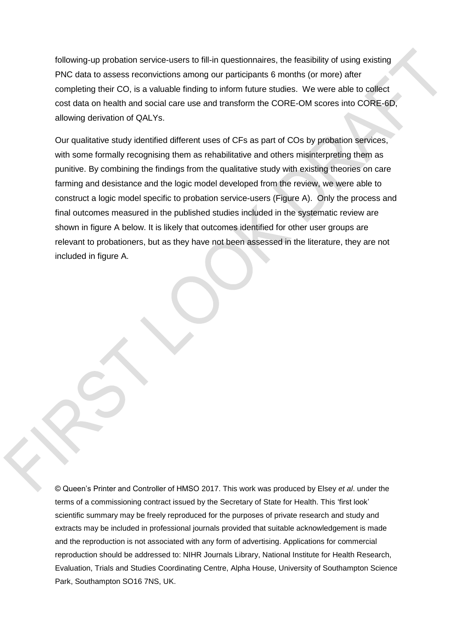following-up probation service-users to fill-in questionnaires, the feasibility of using existing PNC data to assess reconvictions among our participants 6 months (or more) after completing their CO, is a valuable finding to inform future studies. We were able to collect cost data on health and social care use and transform the CORE-OM scores into CORE-6D, allowing derivation of QALYs.

Our qualitative study identified different uses of CFs as part of COs by probation services, with some formally recognising them as rehabilitative and others misinterpreting them as punitive. By combining the findings from the qualitative study with existing theories on care farming and desistance and the logic model developed from the review, we were able to construct a logic model specific to probation service-users (Figure A). Only the process and final outcomes measured in the published studies included in the systematic review are shown in figure A below. It is likely that outcomes identified for other user groups are relevant to probationers, but as they have not been assessed in the literature, they are not included in figure A.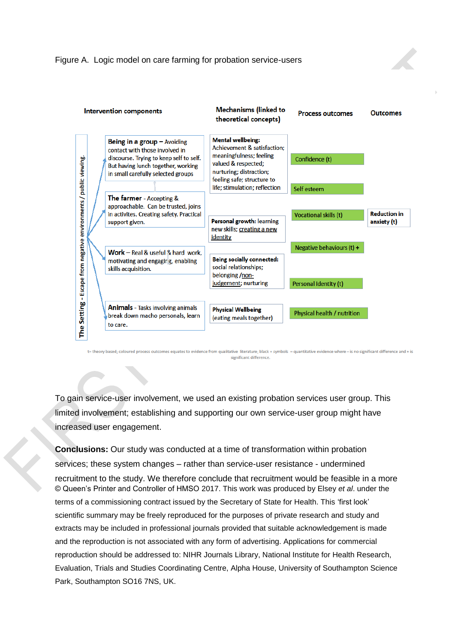

t= theory based; coloured process outcomes equates to evidence from qualitative literature; black + symbols = quantitative evidence where - is no significant difference and + is significant difference.

To gain service-user involvement, we used an existing probation services user group. This limited involvement; establishing and supporting our own service-user group might have increased user engagement.

© Queen's Printer and Controller of HMSO 2017. This work was produced by Elsey *et al*. under the terms of a commissioning contract issued by the Secretary of State for Health. This 'first look' scientific summary may be freely reproduced for the purposes of private research and study and extracts may be included in professional journals provided that suitable acknowledgement is made and the reproduction is not associated with any form of advertising. Applications for commercial reproduction should be addressed to: NIHR Journals Library, National Institute for Health Research, Evaluation, Trials and Studies Coordinating Centre, Alpha House, University of Southampton Science Park, Southampton SO16 7NS, UK. **Conclusions:** Our study was conducted at a time of transformation within probation services; these system changes – rather than service-user resistance - undermined recruitment to the study. We therefore conclude that recruitment would be feasible in a more